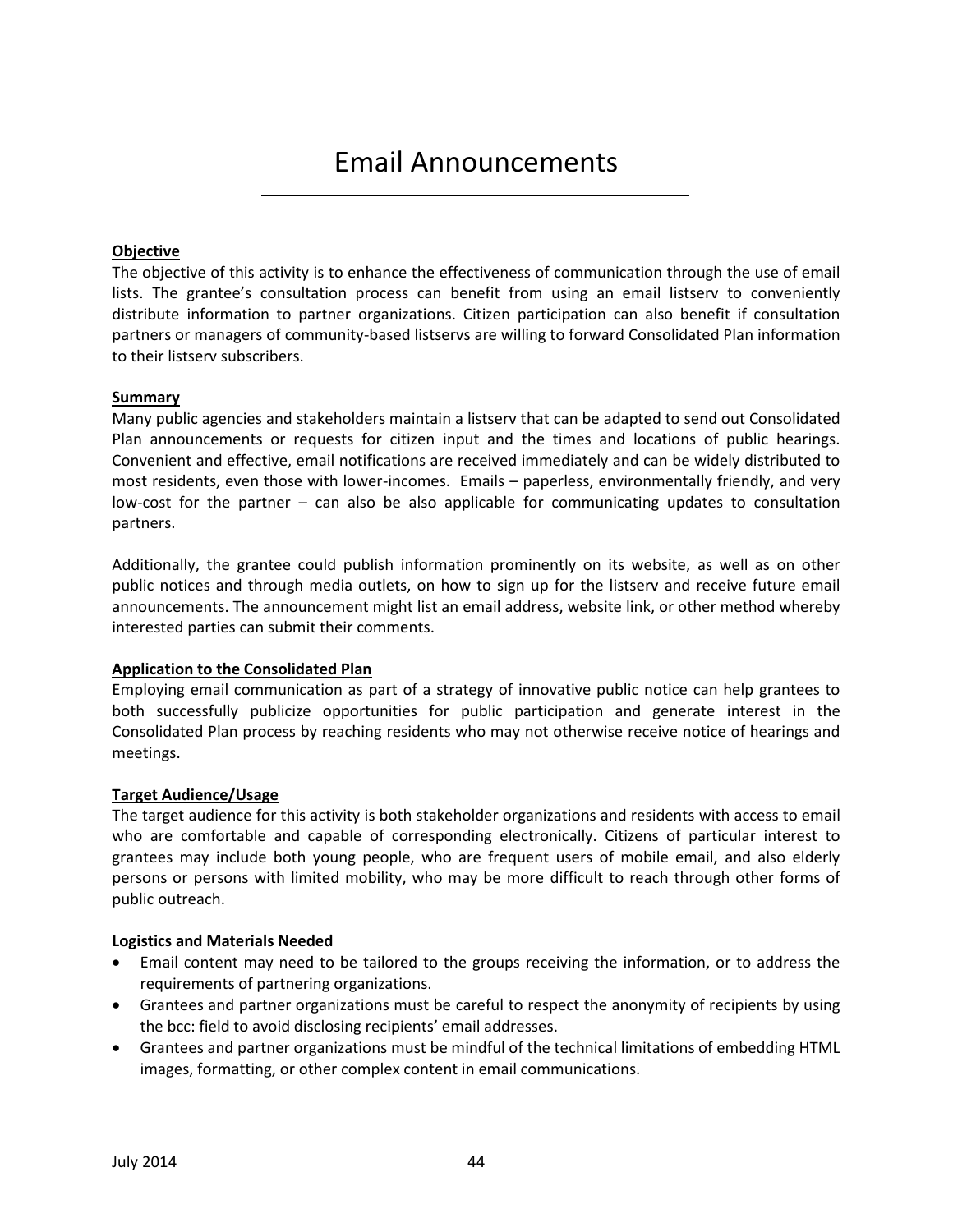# Email Announcements

# **Objective**

The objective of this activity is to enhance the effectiveness of communication through the use of email lists. The grantee's consultation process can benefit from using an email listserv to conveniently distribute information to partner organizations. Citizen participation can also benefit if consultation partners or managers of community-based listservs are willing to forward Consolidated Plan information to their listserv subscribers.

### **Summary**

Many public agencies and stakeholders maintain a listserv that can be adapted to send out Consolidated Plan announcements or requests for citizen input and the times and locations of public hearings. Convenient and effective, email notifications are received immediately and can be widely distributed to most residents, even those with lower-incomes. Emails – paperless, environmentally friendly, and very low-cost for the partner – can also be also applicable for communicating updates to consultation partners.

Additionally, the grantee could publish information prominently on its website, as well as on other public notices and through media outlets, on how to sign up for the listserv and receive future email announcements. The announcement might list an email address, website link, or other method whereby interested parties can submit their comments.

### **Application to the Consolidated Plan**

Employing email communication as part of a strategy of innovative public notice can help grantees to both successfully publicize opportunities for public participation and generate interest in the Consolidated Plan process by reaching residents who may not otherwise receive notice of hearings and meetings.

### **Target Audience/Usage**

The target audience for this activity is both stakeholder organizations and residents with access to email who are comfortable and capable of corresponding electronically. Citizens of particular interest to grantees may include both young people, who are frequent users of mobile email, and also elderly persons or persons with limited mobility, who may be more difficult to reach through other forms of public outreach.

### **Logistics and Materials Needed**

- Email content may need to be tailored to the groups receiving the information, or to address the requirements of partnering organizations.
- Grantees and partner organizations must be careful to respect the anonymity of recipients by using the bcc: field to avoid disclosing recipients' email addresses.
- Grantees and partner organizations must be mindful of the technical limitations of embedding HTML images, formatting, or other complex content in email communications.